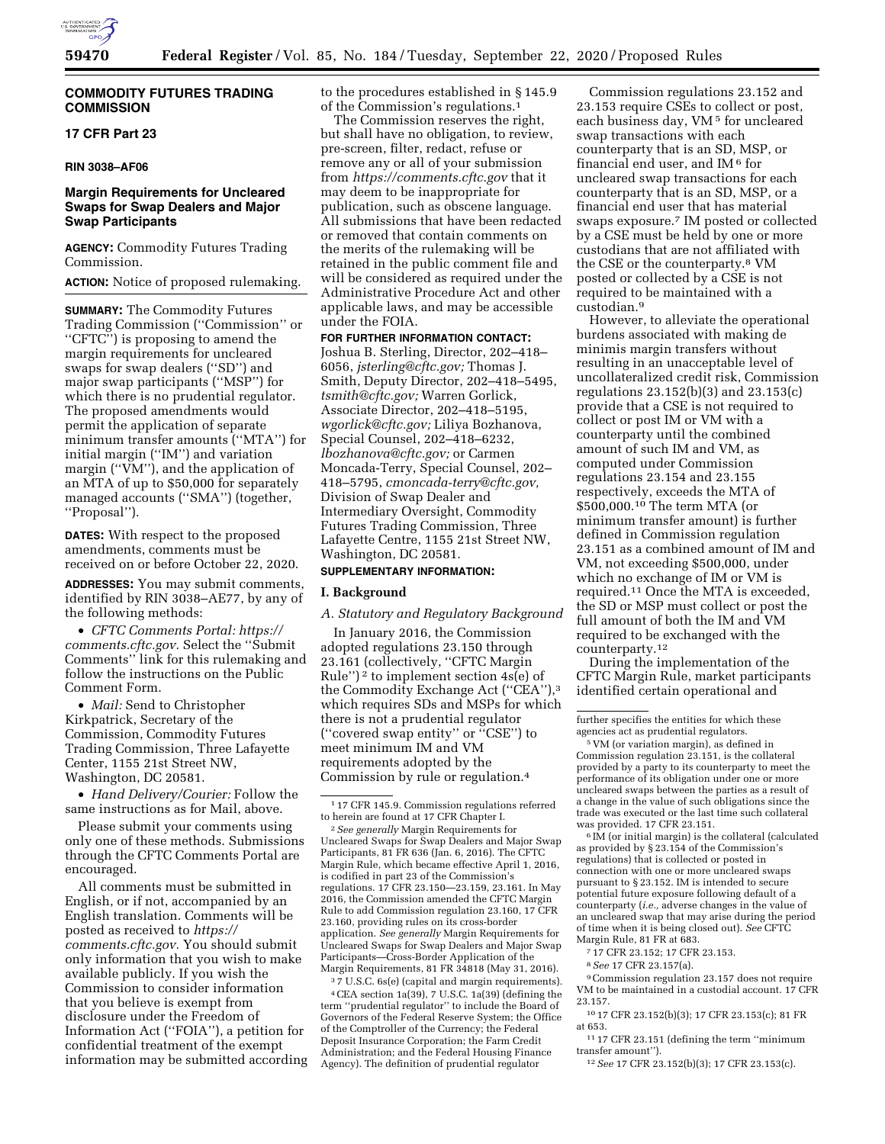

### **COMMODITY FUTURES TRADING COMMISSION**

## **17 CFR Part 23**

### **RIN 3038–AF06**

## **Margin Requirements for Uncleared Swaps for Swap Dealers and Major Swap Participants**

**AGENCY:** Commodity Futures Trading Commission.

**ACTION:** Notice of proposed rulemaking.

**SUMMARY:** The Commodity Futures Trading Commission (''Commission'' or ''CFTC'') is proposing to amend the margin requirements for uncleared swaps for swap dealers (''SD'') and major swap participants (''MSP'') for which there is no prudential regulator. The proposed amendments would permit the application of separate minimum transfer amounts (''MTA'') for initial margin (''IM'') and variation margin ("VM"), and the application of an MTA of up to \$50,000 for separately managed accounts (''SMA'') (together, ''Proposal'').

**DATES:** With respect to the proposed amendments, comments must be received on or before October 22, 2020.

**ADDRESSES:** You may submit comments, identified by RIN 3038–AE77, by any of the following methods:

• *CFTC Comments Portal: [https://](https://comments.cftc.gov) [comments.cftc.gov.](https://comments.cftc.gov)* Select the "Submit" Comments'' link for this rulemaking and follow the instructions on the Public Comment Form.

• *Mail:* Send to Christopher Kirkpatrick, Secretary of the Commission, Commodity Futures Trading Commission, Three Lafayette Center, 1155 21st Street NW, Washington, DC 20581.

• *Hand Delivery/Courier:* Follow the same instructions as for Mail, above.

Please submit your comments using only one of these methods. Submissions through the CFTC Comments Portal are encouraged.

All comments must be submitted in English, or if not, accompanied by an English translation. Comments will be posted as received to *[https://](https://comments.cftc.gov) [comments.cftc.gov.](https://comments.cftc.gov)* You should submit only information that you wish to make available publicly. If you wish the Commission to consider information that you believe is exempt from disclosure under the Freedom of Information Act (''FOIA''), a petition for confidential treatment of the exempt information may be submitted according to the procedures established in § 145.9 of the Commission's regulations.1

The Commission reserves the right, but shall have no obligation, to review, pre-screen, filter, redact, refuse or remove any or all of your submission from *<https://comments.cftc.gov>* that it may deem to be inappropriate for publication, such as obscene language. All submissions that have been redacted or removed that contain comments on the merits of the rulemaking will be retained in the public comment file and will be considered as required under the Administrative Procedure Act and other applicable laws, and may be accessible under the FOIA.

**FOR FURTHER INFORMATION CONTACT:**  Joshua B. Sterling, Director, 202–418– 6056, *[jsterling@cftc.gov;](mailto:jsterling@cftc.gov)* Thomas J. Smith, Deputy Director, 202–418–5495, *[tsmith@cftc.gov;](mailto:tsmith@cftc.gov)* Warren Gorlick, Associate Director, 202–418–5195, *[wgorlick@cftc.gov;](mailto:wgorlick@cftc.gov)* Liliya Bozhanova, Special Counsel, 202–418–6232, *[lbozhanova@cftc.gov;](mailto:lbozhanova@cftc.gov)* or Carmen Moncada-Terry, Special Counsel, 202– 418–5795, *[cmoncada-terry@cftc.gov,](mailto:cmoncada-terry@cftc.gov)*  Division of Swap Dealer and Intermediary Oversight, Commodity Futures Trading Commission, Three Lafayette Centre, 1155 21st Street NW, Washington, DC 20581.

## **SUPPLEMENTARY INFORMATION:**

## **I. Background**

#### *A. Statutory and Regulatory Background*

In January 2016, the Commission adopted regulations 23.150 through 23.161 (collectively, ''CFTC Margin Rule")<sup>2</sup> to implement section  $4s(e)$  of the Commodity Exchange Act (''CEA''),3 which requires SDs and MSPs for which there is not a prudential regulator (''covered swap entity'' or ''CSE'') to meet minimum IM and VM requirements adopted by the Commission by rule or regulation.4

2*See generally* Margin Requirements for Uncleared Swaps for Swap Dealers and Major Swap Participants, 81 FR 636 (Jan. 6, 2016). The CFTC Margin Rule, which became effective April 1, 2016, is codified in part 23 of the Commission's regulations. 17 CFR 23.150—23.159, 23.161. In May 2016, the Commission amended the CFTC Margin Rule to add Commission regulation 23.160, 17 CFR 23.160, providing rules on its cross-border application. *See generally* Margin Requirements for Uncleared Swaps for Swap Dealers and Major Swap Participants—Cross-Border Application of the Margin Requirements, 81 FR 34818 (May 31, 2016).

3 7 U.S.C. 6s(e) (capital and margin requirements). 4CEA section 1a(39), 7 U.S.C. 1a(39) (defining the term ''prudential regulator'' to include the Board of Governors of the Federal Reserve System; the Office of the Comptroller of the Currency; the Federal Deposit Insurance Corporation; the Farm Credit Administration; and the Federal Housing Finance Agency). The definition of prudential regulator

Commission regulations 23.152 and 23.153 require CSEs to collect or post, each business day, VM<sup>5</sup> for uncleared swap transactions with each counterparty that is an SD, MSP, or financial end user, and IM 6 for uncleared swap transactions for each counterparty that is an SD, MSP, or a financial end user that has material swaps exposure.7 IM posted or collected by a CSE must be held by one or more custodians that are not affiliated with the CSE or the counterparty.8 VM posted or collected by a CSE is not required to be maintained with a custodian.9

However, to alleviate the operational burdens associated with making de minimis margin transfers without resulting in an unacceptable level of uncollateralized credit risk, Commission regulations 23.152(b)(3) and 23.153(c) provide that a CSE is not required to collect or post IM or VM with a counterparty until the combined amount of such IM and VM, as computed under Commission regulations 23.154 and 23.155 respectively, exceeds the MTA of \$500,000.10 The term MTA (or minimum transfer amount) is further defined in Commission regulation 23.151 as a combined amount of IM and VM, not exceeding \$500,000, under which no exchange of IM or VM is required.11 Once the MTA is exceeded, the SD or MSP must collect or post the full amount of both the IM and VM required to be exchanged with the counterparty.12

During the implementation of the CFTC Margin Rule, market participants identified certain operational and

5 VM (or variation margin), as defined in Commission regulation 23.151, is the collateral provided by a party to its counterparty to meet the performance of its obligation under one or more uncleared swaps between the parties as a result of a change in the value of such obligations since the trade was executed or the last time such collateral was provided. 17 CFR 23.151.

6 IM (or initial margin) is the collateral (calculated as provided by § 23.154 of the Commission's regulations) that is collected or posted in connection with one or more uncleared swaps pursuant to § 23.152. IM is intended to secure potential future exposure following default of a counterparty (*i.e.,* adverse changes in the value of an uncleared swap that may arise during the period of time when it is being closed out). *See* CFTC Margin Rule, 81 FR at 683.

- 7 17 CFR 23.152; 17 CFR 23.153.
- 8*See* 17 CFR 23.157(a).
- 

9Commission regulation 23.157 does not require VM to be maintained in a custodial account. 17 CFR 23.157.

10 17 CFR 23.152(b)(3); 17 CFR 23.153(c); 81 FR at 653.

 $^{\rm 11}$  17 CFR 23.151 (defining the term ''minimum transfer amount'').

12*See* 17 CFR 23.152(b)(3); 17 CFR 23.153(c).

<sup>1</sup> 17 CFR 145.9. Commission regulations referred to herein are found at 17 CFR Chapter I.

further specifies the entities for which these agencies act as prudential regulators.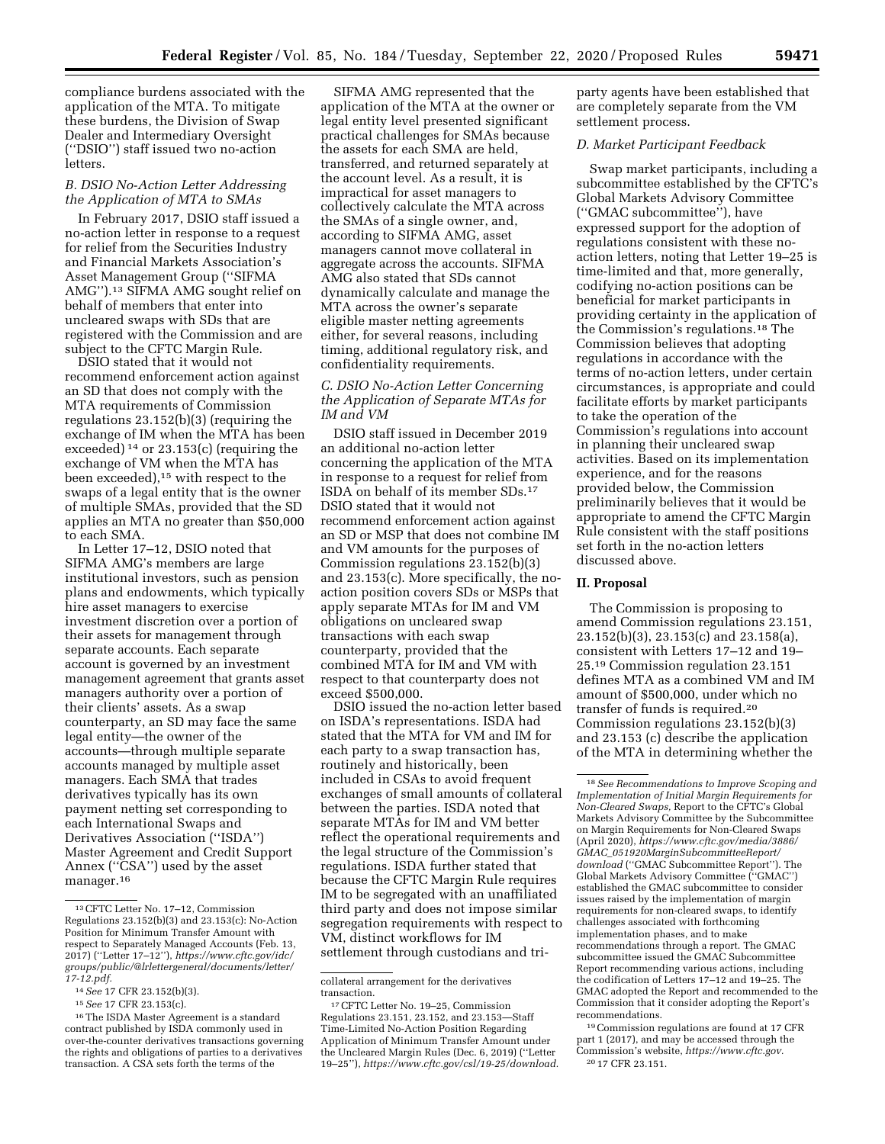compliance burdens associated with the application of the MTA. To mitigate these burdens, the Division of Swap Dealer and Intermediary Oversight (''DSIO'') staff issued two no-action **letters** 

# *B. DSIO No-Action Letter Addressing the Application of MTA to SMAs*

In February 2017, DSIO staff issued a no-action letter in response to a request for relief from the Securities Industry and Financial Markets Association's Asset Management Group (''SIFMA AMG'').13 SIFMA AMG sought relief on behalf of members that enter into uncleared swaps with SDs that are registered with the Commission and are subject to the CFTC Margin Rule.

DSIO stated that it would not recommend enforcement action against an SD that does not comply with the MTA requirements of Commission regulations 23.152(b)(3) (requiring the exchange of IM when the MTA has been exceeded) 14 or 23.153(c) (requiring the exchange of VM when the MTA has been exceeded),15 with respect to the swaps of a legal entity that is the owner of multiple SMAs, provided that the SD applies an MTA no greater than \$50,000 to each SMA.

In Letter 17–12, DSIO noted that SIFMA AMG's members are large institutional investors, such as pension plans and endowments, which typically hire asset managers to exercise investment discretion over a portion of their assets for management through separate accounts. Each separate account is governed by an investment management agreement that grants asset managers authority over a portion of their clients' assets. As a swap counterparty, an SD may face the same legal entity—the owner of the accounts—through multiple separate accounts managed by multiple asset managers. Each SMA that trades derivatives typically has its own payment netting set corresponding to each International Swaps and Derivatives Association (''ISDA'') Master Agreement and Credit Support Annex (''CSA'') used by the asset manager.16

SIFMA AMG represented that the application of the MTA at the owner or legal entity level presented significant practical challenges for SMAs because the assets for each SMA are held, transferred, and returned separately at the account level. As a result, it is impractical for asset managers to collectively calculate the MTA across the SMAs of a single owner, and, according to SIFMA AMG, asset managers cannot move collateral in aggregate across the accounts. SIFMA AMG also stated that SDs cannot dynamically calculate and manage the MTA across the owner's separate eligible master netting agreements either, for several reasons, including timing, additional regulatory risk, and confidentiality requirements.

# *C. DSIO No-Action Letter Concerning the Application of Separate MTAs for IM and VM*

DSIO staff issued in December 2019 an additional no-action letter concerning the application of the MTA in response to a request for relief from ISDA on behalf of its member SDs.17 DSIO stated that it would not recommend enforcement action against an SD or MSP that does not combine IM and VM amounts for the purposes of Commission regulations 23.152(b)(3) and 23.153(c). More specifically, the noaction position covers SDs or MSPs that apply separate MTAs for IM and VM obligations on uncleared swap transactions with each swap counterparty, provided that the combined MTA for IM and VM with respect to that counterparty does not exceed \$500,000.

DSIO issued the no-action letter based on ISDA's representations. ISDA had stated that the MTA for VM and IM for each party to a swap transaction has, routinely and historically, been included in CSAs to avoid frequent exchanges of small amounts of collateral between the parties. ISDA noted that separate MTAs for IM and VM better reflect the operational requirements and the legal structure of the Commission's regulations. ISDA further stated that because the CFTC Margin Rule requires IM to be segregated with an unaffiliated third party and does not impose similar segregation requirements with respect to VM, distinct workflows for IM settlement through custodians and triparty agents have been established that are completely separate from the VM settlement process.

### *D. Market Participant Feedback*

Swap market participants, including a subcommittee established by the CFTC's Global Markets Advisory Committee (''GMAC subcommittee''), have expressed support for the adoption of regulations consistent with these noaction letters, noting that Letter 19–25 is time-limited and that, more generally, codifying no-action positions can be beneficial for market participants in providing certainty in the application of the Commission's regulations.18 The Commission believes that adopting regulations in accordance with the terms of no-action letters, under certain circumstances, is appropriate and could facilitate efforts by market participants to take the operation of the Commission's regulations into account in planning their uncleared swap activities. Based on its implementation experience, and for the reasons provided below, the Commission preliminarily believes that it would be appropriate to amend the CFTC Margin Rule consistent with the staff positions set forth in the no-action letters discussed above.

### **II. Proposal**

The Commission is proposing to amend Commission regulations 23.151, 23.152(b)(3), 23.153(c) and 23.158(a), consistent with Letters 17–12 and 19– 25.19 Commission regulation 23.151 defines MTA as a combined VM and IM amount of \$500,000, under which no transfer of funds is required.20 Commission regulations 23.152(b)(3) and 23.153 (c) describe the application of the MTA in determining whether the

19Commission regulations are found at 17 CFR part 1 (2017), and may be accessed through the Commission's website, *[https://www.cftc.gov.](https://www.cftc.gov)*  20 17 CFR 23.151.

<sup>13</sup>CFTC Letter No. 17–12, Commission Regulations 23.152(b)(3) and 23.153(c): No-Action Position for Minimum Transfer Amount with respect to Separately Managed Accounts (Feb. 13, 2017) (''Letter 17–12''), *[https://www.cftc.gov/idc/](https://www.cftc.gov/idc/groups/public/@lrlettergeneral/documents/letter/17-12.pdf)  [groups/public/@lrlettergeneral/documents/letter/](https://www.cftc.gov/idc/groups/public/@lrlettergeneral/documents/letter/17-12.pdf)  [17-12.pdf.](https://www.cftc.gov/idc/groups/public/@lrlettergeneral/documents/letter/17-12.pdf)* 

<sup>14</sup>*See* 17 CFR 23.152(b)(3).

<sup>15</sup>*See* 17 CFR 23.153(c).

<sup>16</sup>The ISDA Master Agreement is a standard contract published by ISDA commonly used in over-the-counter derivatives transactions governing the rights and obligations of parties to a derivatives transaction. A CSA sets forth the terms of the

collateral arrangement for the derivatives transaction.

<sup>17</sup>CFTC Letter No. 19–25, Commission Regulations 23.151, 23.152, and 23.153—Staff Time-Limited No-Action Position Regarding Application of Minimum Transfer Amount under the Uncleared Margin Rules (Dec. 6, 2019) (''Letter 19–25''), *[https://www.cftc.gov/csl/19-25/download.](https://www.cftc.gov/csl/19-25/download)* 

<sup>18</sup>*See Recommendations to Improve Scoping and Implementation of Initial Margin Requirements for Non-Cleared Swaps,* Report to the CFTC's Global Markets Advisory Committee by the Subcommittee on Margin Requirements for Non-Cleared Swaps (April 2020), *[https://www.cftc.gov/media/3886/](https://www.cftc.gov/media/3886/GMAC_051920MarginSubcommitteeReport/download) GMAC*\_*[051920MarginSubcommitteeReport/](https://www.cftc.gov/media/3886/GMAC_051920MarginSubcommitteeReport/download) [download](https://www.cftc.gov/media/3886/GMAC_051920MarginSubcommitteeReport/download)* (''GMAC Subcommittee Report''). The Global Markets Advisory Committee (''GMAC'') established the GMAC subcommittee to consider issues raised by the implementation of margin requirements for non-cleared swaps, to identify challenges associated with forthcoming implementation phases, and to make recommendations through a report. The GMAC subcommittee issued the GMAC Subcommittee Report recommending various actions, including the codification of Letters 17–12 and 19–25. The GMAC adopted the Report and recommended to the Commission that it consider adopting the Report's recommendations.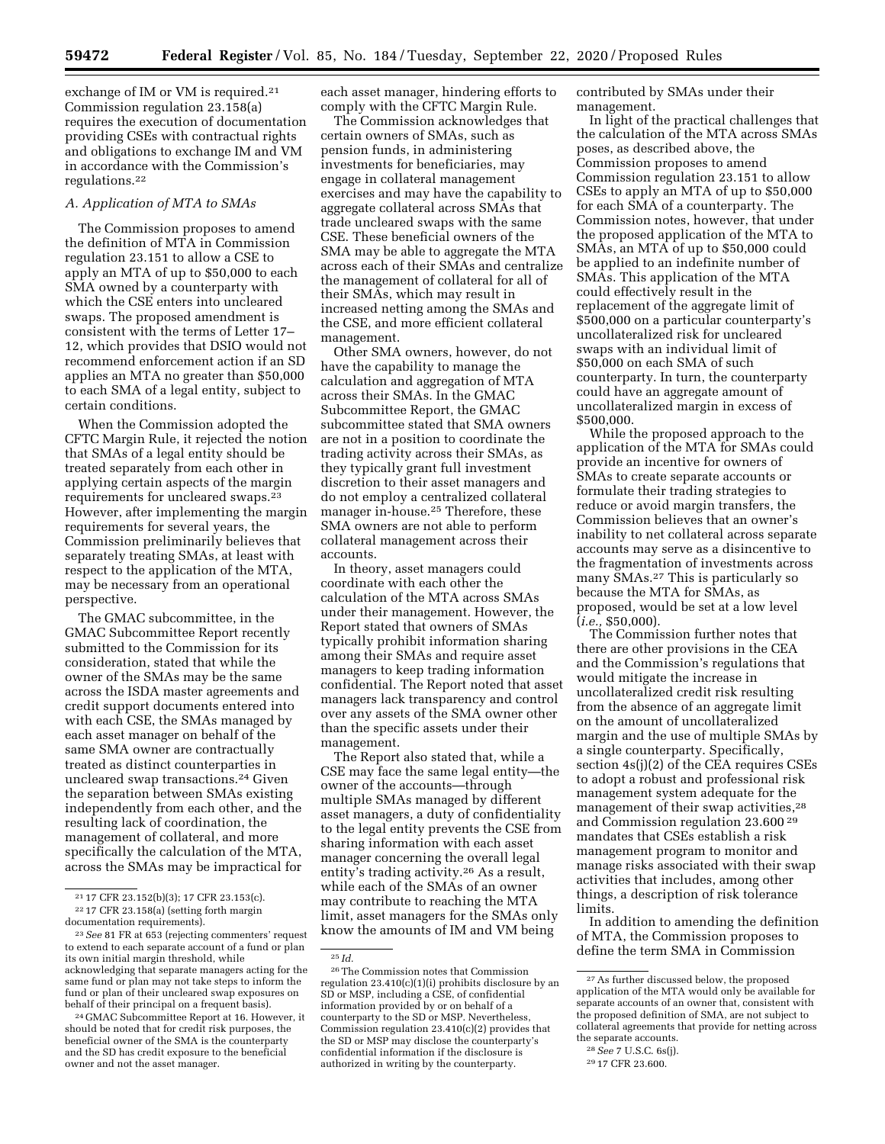exchange of IM or VM is required.<sup>21</sup> Commission regulation 23.158(a) requires the execution of documentation providing CSEs with contractual rights and obligations to exchange IM and VM in accordance with the Commission's regulations.22

### *A. Application of MTA to SMAs*

The Commission proposes to amend the definition of MTA in Commission regulation 23.151 to allow a CSE to apply an MTA of up to \$50,000 to each SMA owned by a counterparty with which the CSE enters into uncleared swaps. The proposed amendment is consistent with the terms of Letter 17– 12, which provides that DSIO would not recommend enforcement action if an SD applies an MTA no greater than \$50,000 to each SMA of a legal entity, subject to certain conditions.

When the Commission adopted the CFTC Margin Rule, it rejected the notion that SMAs of a legal entity should be treated separately from each other in applying certain aspects of the margin requirements for uncleared swaps.23 However, after implementing the margin requirements for several years, the Commission preliminarily believes that separately treating SMAs, at least with respect to the application of the MTA, may be necessary from an operational perspective.

The GMAC subcommittee, in the GMAC Subcommittee Report recently submitted to the Commission for its consideration, stated that while the owner of the SMAs may be the same across the ISDA master agreements and credit support documents entered into with each CSE, the SMAs managed by each asset manager on behalf of the same SMA owner are contractually treated as distinct counterparties in uncleared swap transactions.24 Given the separation between SMAs existing independently from each other, and the resulting lack of coordination, the management of collateral, and more specifically the calculation of the MTA, across the SMAs may be impractical for

<sup>24</sup> GMAC Subcommittee Report at 16. However, it should be noted that for credit risk purposes, the beneficial owner of the SMA is the counterparty and the SD has credit exposure to the beneficial owner and not the asset manager.

each asset manager, hindering efforts to comply with the CFTC Margin Rule.

The Commission acknowledges that certain owners of SMAs, such as pension funds, in administering investments for beneficiaries, may engage in collateral management exercises and may have the capability to aggregate collateral across SMAs that trade uncleared swaps with the same CSE. These beneficial owners of the SMA may be able to aggregate the MTA across each of their SMAs and centralize the management of collateral for all of their SMAs, which may result in increased netting among the SMAs and the CSE, and more efficient collateral management.

Other SMA owners, however, do not have the capability to manage the calculation and aggregation of MTA across their SMAs. In the GMAC Subcommittee Report, the GMAC subcommittee stated that SMA owners are not in a position to coordinate the trading activity across their SMAs, as they typically grant full investment discretion to their asset managers and do not employ a centralized collateral manager in-house.25 Therefore, these SMA owners are not able to perform collateral management across their accounts.

In theory, asset managers could coordinate with each other the calculation of the MTA across SMAs under their management. However, the Report stated that owners of SMAs typically prohibit information sharing among their SMAs and require asset managers to keep trading information confidential. The Report noted that asset managers lack transparency and control over any assets of the SMA owner other than the specific assets under their management.

The Report also stated that, while a CSE may face the same legal entity—the owner of the accounts—through multiple SMAs managed by different asset managers, a duty of confidentiality to the legal entity prevents the CSE from sharing information with each asset manager concerning the overall legal entity's trading activity.26 As a result, while each of the SMAs of an owner may contribute to reaching the MTA limit, asset managers for the SMAs only know the amounts of IM and VM being

contributed by SMAs under their management.

In light of the practical challenges that the calculation of the MTA across SMAs poses, as described above, the Commission proposes to amend Commission regulation 23.151 to allow CSEs to apply an MTA of up to \$50,000 for each SMA of a counterparty. The Commission notes, however, that under the proposed application of the MTA to SMAs, an MTA of up to \$50,000 could be applied to an indefinite number of SMAs. This application of the MTA could effectively result in the replacement of the aggregate limit of \$500,000 on a particular counterparty's uncollateralized risk for uncleared swaps with an individual limit of \$50,000 on each SMA of such counterparty. In turn, the counterparty could have an aggregate amount of uncollateralized margin in excess of \$500,000.

While the proposed approach to the application of the MTA for SMAs could provide an incentive for owners of SMAs to create separate accounts or formulate their trading strategies to reduce or avoid margin transfers, the Commission believes that an owner's inability to net collateral across separate accounts may serve as a disincentive to the fragmentation of investments across many SMAs.27 This is particularly so because the MTA for SMAs, as proposed, would be set at a low level (*i.e.,* \$50,000).

The Commission further notes that there are other provisions in the CEA and the Commission's regulations that would mitigate the increase in uncollateralized credit risk resulting from the absence of an aggregate limit on the amount of uncollateralized margin and the use of multiple SMAs by a single counterparty. Specifically, section 4s(j)(2) of the CEA requires CSEs to adopt a robust and professional risk management system adequate for the management of their swap activities,28 and Commission regulation 23.600 29 mandates that CSEs establish a risk management program to monitor and manage risks associated with their swap activities that includes, among other things, a description of risk tolerance limits.

In addition to amending the definition of MTA, the Commission proposes to define the term SMA in Commission

<sup>21</sup> 17 CFR 23.152(b)(3); 17 CFR 23.153(c).

<sup>22</sup> 17 CFR 23.158(a) (setting forth margin documentation requirements).

<sup>23</sup>*See* 81 FR at 653 (rejecting commenters' request

to extend to each separate account of a fund or plan its own initial margin threshold, while acknowledging that separate managers acting for the same fund or plan may not take steps to inform the fund or plan of their uncleared swap exposures on behalf of their principal on a frequent basis).

<sup>25</sup> *Id.* 

<sup>26</sup>The Commission notes that Commission regulation 23.410(c)(1)(i) prohibits disclosure by an SD or MSP, including a CSE, of confidential information provided by or on behalf of a counterparty to the SD or MSP. Nevertheless, Commission regulation 23.410(c)(2) provides that the SD or MSP may disclose the counterparty's confidential information if the disclosure is authorized in writing by the counterparty.

<sup>27</sup>As further discussed below, the proposed application of the MTA would only be available for separate accounts of an owner that, consistent with the proposed definition of SMA, are not subject to collateral agreements that provide for netting across the separate accounts.

<sup>28</sup>*See* 7 U.S.C. 6s(j).

<sup>29</sup> 17 CFR 23.600.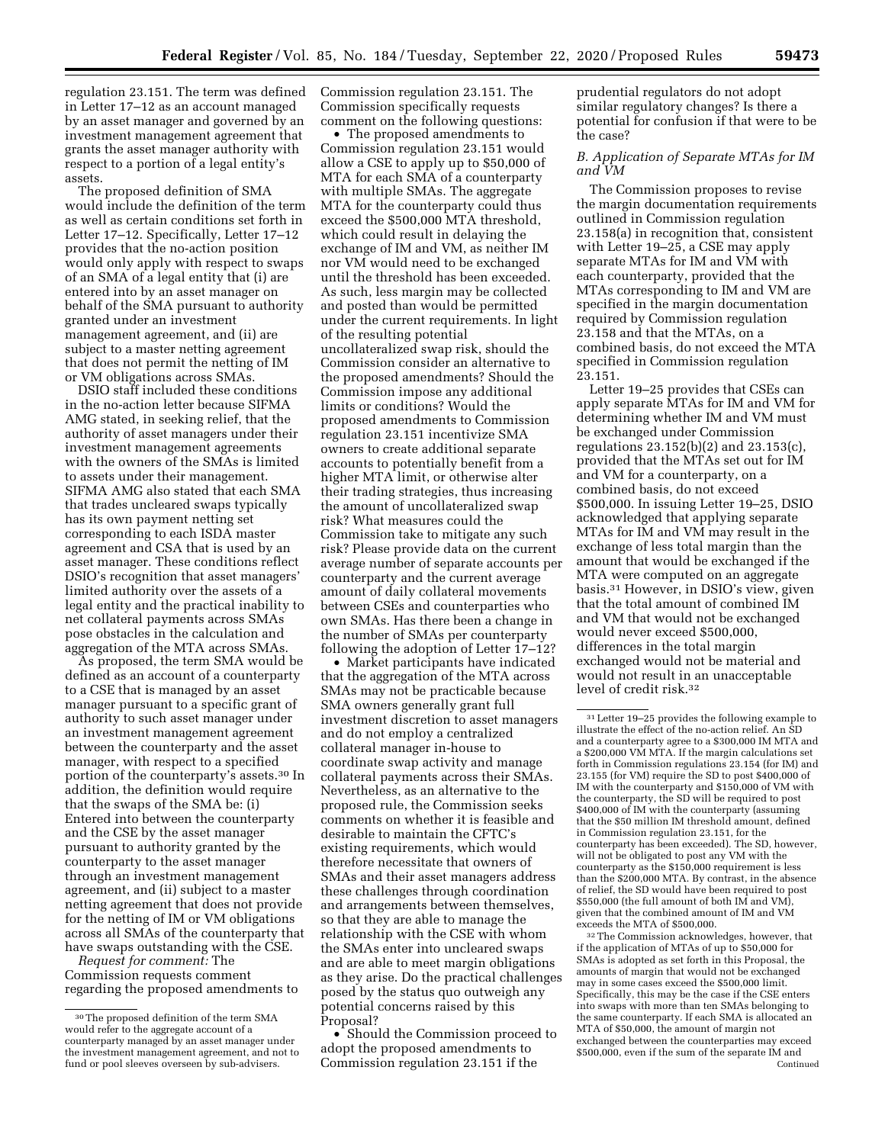regulation 23.151. The term was defined in Letter 17–12 as an account managed by an asset manager and governed by an investment management agreement that grants the asset manager authority with respect to a portion of a legal entity's assets.

The proposed definition of SMA would include the definition of the term as well as certain conditions set forth in Letter 17–12. Specifically, Letter 17–12 provides that the no-action position would only apply with respect to swaps of an SMA of a legal entity that (i) are entered into by an asset manager on behalf of the SMA pursuant to authority granted under an investment management agreement, and (ii) are subject to a master netting agreement that does not permit the netting of IM or VM obligations across SMAs.

DSIO staff included these conditions in the no-action letter because SIFMA AMG stated, in seeking relief, that the authority of asset managers under their investment management agreements with the owners of the SMAs is limited to assets under their management. SIFMA AMG also stated that each SMA that trades uncleared swaps typically has its own payment netting set corresponding to each ISDA master agreement and CSA that is used by an asset manager. These conditions reflect DSIO's recognition that asset managers' limited authority over the assets of a legal entity and the practical inability to net collateral payments across SMAs pose obstacles in the calculation and aggregation of the MTA across SMAs.

As proposed, the term SMA would be defined as an account of a counterparty to a CSE that is managed by an asset manager pursuant to a specific grant of authority to such asset manager under an investment management agreement between the counterparty and the asset manager, with respect to a specified portion of the counterparty's assets.30 In addition, the definition would require that the swaps of the SMA be: (i) Entered into between the counterparty and the CSE by the asset manager pursuant to authority granted by the counterparty to the asset manager through an investment management agreement, and (ii) subject to a master netting agreement that does not provide for the netting of IM or VM obligations across all SMAs of the counterparty that have swaps outstanding with the CSE.

*Request for comment:* The Commission requests comment regarding the proposed amendments to Commission regulation 23.151. The Commission specifically requests comment on the following questions:

• The proposed amendments to Commission regulation 23.151 would allow a CSE to apply up to \$50,000 of MTA for each SMA of a counterparty with multiple SMAs. The aggregate MTA for the counterparty could thus exceed the \$500,000 MTA threshold, which could result in delaying the exchange of IM and VM, as neither IM nor VM would need to be exchanged until the threshold has been exceeded. As such, less margin may be collected and posted than would be permitted under the current requirements. In light of the resulting potential uncollateralized swap risk, should the Commission consider an alternative to the proposed amendments? Should the Commission impose any additional limits or conditions? Would the proposed amendments to Commission regulation 23.151 incentivize SMA owners to create additional separate accounts to potentially benefit from a higher MTA limit, or otherwise alter their trading strategies, thus increasing the amount of uncollateralized swap risk? What measures could the Commission take to mitigate any such risk? Please provide data on the current average number of separate accounts per counterparty and the current average amount of daily collateral movements between CSEs and counterparties who own SMAs. Has there been a change in the number of SMAs per counterparty following the adoption of Letter  $17-12$ ?

• Market participants have indicated that the aggregation of the MTA across SMAs may not be practicable because SMA owners generally grant full investment discretion to asset managers and do not employ a centralized collateral manager in-house to coordinate swap activity and manage collateral payments across their SMAs. Nevertheless, as an alternative to the proposed rule, the Commission seeks comments on whether it is feasible and desirable to maintain the CFTC's existing requirements, which would therefore necessitate that owners of SMAs and their asset managers address these challenges through coordination and arrangements between themselves, so that they are able to manage the relationship with the CSE with whom the SMAs enter into uncleared swaps and are able to meet margin obligations as they arise. Do the practical challenges posed by the status quo outweigh any potential concerns raised by this Proposal?

• Should the Commission proceed to adopt the proposed amendments to Commission regulation 23.151 if the

prudential regulators do not adopt similar regulatory changes? Is there a potential for confusion if that were to be the case?

## *B. Application of Separate MTAs for IM and VM*

The Commission proposes to revise the margin documentation requirements outlined in Commission regulation 23.158(a) in recognition that, consistent with Letter 19–25, a CSE may apply separate MTAs for IM and VM with each counterparty, provided that the MTAs corresponding to IM and VM are specified in the margin documentation required by Commission regulation 23.158 and that the MTAs, on a combined basis, do not exceed the MTA specified in Commission regulation 23.151.

Letter 19–25 provides that CSEs can apply separate MTAs for IM and VM for determining whether IM and VM must be exchanged under Commission regulations 23.152(b)(2) and 23.153(c), provided that the MTAs set out for IM and VM for a counterparty, on a combined basis, do not exceed \$500,000. In issuing Letter 19–25, DSIO acknowledged that applying separate MTAs for IM and VM may result in the exchange of less total margin than the amount that would be exchanged if the MTA were computed on an aggregate basis.31 However, in DSIO's view, given that the total amount of combined IM and VM that would not be exchanged would never exceed \$500,000, differences in the total margin exchanged would not be material and would not result in an unacceptable level of credit risk.32

32The Commission acknowledges, however, that if the application of MTAs of up to \$50,000 for SMAs is adopted as set forth in this Proposal, the amounts of margin that would not be exchanged may in some cases exceed the \$500,000 limit. Specifically, this may be the case if the CSE enters into swaps with more than ten SMAs belonging to the same counterparty. If each SMA is allocated an MTA of \$50,000, the amount of margin not exchanged between the counterparties may exceed \$500,000, even if the sum of the separate IM and Continued

<sup>30</sup>The proposed definition of the term SMA would refer to the aggregate account of a counterparty managed by an asset manager under the investment management agreement, and not to fund or pool sleeves overseen by sub-advisers.

<sup>31</sup>Letter 19–25 provides the following example to illustrate the effect of the no-action relief. An SD and a counterparty agree to a \$300,000 IM MTA and a \$200,000 VM MTA. If the margin calculations set forth in Commission regulations 23.154 (for IM) and 23.155 (for VM) require the SD to post \$400,000 of IM with the counterparty and \$150,000 of VM with the counterparty, the SD will be required to post \$400,000 of IM with the counterparty (assuming that the \$50 million IM threshold amount, defined in Commission regulation 23.151, for the counterparty has been exceeded). The SD, however, will not be obligated to post any VM with the counterparty as the \$150,000 requirement is less than the \$200,000 MTA. By contrast, in the absence of relief, the SD would have been required to post \$550,000 (the full amount of both IM and VM), given that the combined amount of IM and VM exceeds the MTA of \$500,000.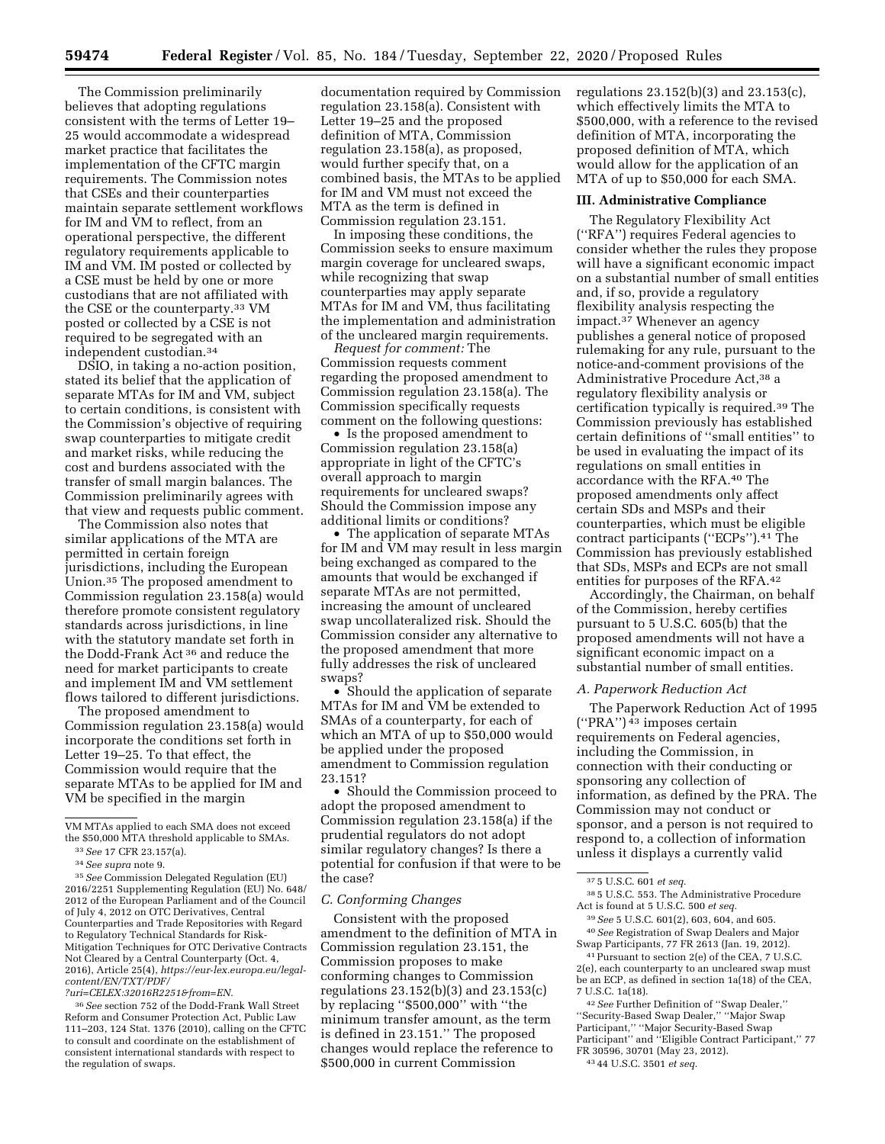The Commission preliminarily believes that adopting regulations consistent with the terms of Letter 19– 25 would accommodate a widespread market practice that facilitates the implementation of the CFTC margin requirements. The Commission notes that CSEs and their counterparties maintain separate settlement workflows for IM and VM to reflect, from an operational perspective, the different regulatory requirements applicable to IM and VM. IM posted or collected by a CSE must be held by one or more custodians that are not affiliated with the CSE or the counterparty.33 VM posted or collected by a CSE is not required to be segregated with an independent custodian.34

DSIO, in taking a no-action position, stated its belief that the application of separate MTAs for IM and VM, subject to certain conditions, is consistent with the Commission's objective of requiring swap counterparties to mitigate credit and market risks, while reducing the cost and burdens associated with the transfer of small margin balances. The Commission preliminarily agrees with that view and requests public comment.

The Commission also notes that similar applications of the MTA are permitted in certain foreign jurisdictions, including the European Union.35 The proposed amendment to Commission regulation 23.158(a) would therefore promote consistent regulatory standards across jurisdictions, in line with the statutory mandate set forth in the Dodd-Frank Act 36 and reduce the need for market participants to create and implement IM and VM settlement flows tailored to different jurisdictions.

The proposed amendment to Commission regulation 23.158(a) would incorporate the conditions set forth in Letter 19–25. To that effect, the Commission would require that the separate MTAs to be applied for IM and VM be specified in the margin

VM MTAs applied to each SMA does not exceed the \$50,000 MTA threshold applicable to SMAs.

35*See* Commission Delegated Regulation (EU) 2016/2251 Supplementing Regulation (EU) No. 648/ 2012 of the European Parliament and of the Council of July 4, 2012 on OTC Derivatives, Central Counterparties and Trade Repositories with Regard to Regulatory Technical Standards for Risk-Mitigation Techniques for OTC Derivative Contracts Not Cleared by a Central Counterparty (Oct. 4, 2016), Article 25(4), *[https://eur-lex.europa.eu/legal](https://eur-lex.europa.eu/legal-content/EN/TXT/PDF/?uri=CELEX:32016R2251&from=EN)[content/EN/TXT/PDF/](https://eur-lex.europa.eu/legal-content/EN/TXT/PDF/?uri=CELEX:32016R2251&from=EN)* 

36*See* section 752 of the Dodd-Frank Wall Street Reform and Consumer Protection Act, Public Law 111–203, 124 Stat. 1376 (2010), calling on the CFTC to consult and coordinate on the establishment of consistent international standards with respect to the regulation of swaps.

documentation required by Commission regulation 23.158(a). Consistent with Letter 19–25 and the proposed definition of MTA, Commission regulation 23.158(a), as proposed, would further specify that, on a combined basis, the MTAs to be applied for IM and VM must not exceed the MTA as the term is defined in Commission regulation 23.151.

In imposing these conditions, the Commission seeks to ensure maximum margin coverage for uncleared swaps, while recognizing that swap counterparties may apply separate MTAs for IM and VM, thus facilitating the implementation and administration of the uncleared margin requirements.

*Request for comment:* The Commission requests comment regarding the proposed amendment to Commission regulation 23.158(a). The Commission specifically requests comment on the following questions:

• Is the proposed amendment to Commission regulation 23.158(a) appropriate in light of the CFTC's overall approach to margin requirements for uncleared swaps? Should the Commission impose any additional limits or conditions?

• The application of separate MTAs for IM and VM may result in less margin being exchanged as compared to the amounts that would be exchanged if separate MTAs are not permitted, increasing the amount of uncleared swap uncollateralized risk. Should the Commission consider any alternative to the proposed amendment that more fully addresses the risk of uncleared swaps?

• Should the application of separate MTAs for IM and VM be extended to SMAs of a counterparty, for each of which an MTA of up to \$50,000 would be applied under the proposed amendment to Commission regulation 23.151?

• Should the Commission proceed to adopt the proposed amendment to Commission regulation 23.158(a) if the prudential regulators do not adopt similar regulatory changes? Is there a potential for confusion if that were to be the case?

### *C. Conforming Changes*

Consistent with the proposed amendment to the definition of MTA in Commission regulation 23.151, the Commission proposes to make conforming changes to Commission regulations 23.152(b)(3) and 23.153(c) by replacing ''\$500,000'' with ''the minimum transfer amount, as the term is defined in 23.151.'' The proposed changes would replace the reference to \$500,000 in current Commission

regulations 23.152(b)(3) and 23.153(c), which effectively limits the MTA to \$500,000, with a reference to the revised definition of MTA, incorporating the proposed definition of MTA, which would allow for the application of an MTA of up to \$50,000 for each SMA.

#### **III. Administrative Compliance**

The Regulatory Flexibility Act (''RFA'') requires Federal agencies to consider whether the rules they propose will have a significant economic impact on a substantial number of small entities and, if so, provide a regulatory flexibility analysis respecting the impact.37 Whenever an agency publishes a general notice of proposed rulemaking for any rule, pursuant to the notice-and-comment provisions of the Administrative Procedure Act,38 a regulatory flexibility analysis or certification typically is required.39 The Commission previously has established certain definitions of ''small entities'' to be used in evaluating the impact of its regulations on small entities in accordance with the RFA.40 The proposed amendments only affect certain SDs and MSPs and their counterparties, which must be eligible contract participants (''ECPs'').41 The Commission has previously established that SDs, MSPs and ECPs are not small entities for purposes of the RFA.42

Accordingly, the Chairman, on behalf of the Commission, hereby certifies pursuant to 5 U.S.C. 605(b) that the proposed amendments will not have a significant economic impact on a substantial number of small entities.

## *A. Paperwork Reduction Act*

The Paperwork Reduction Act of 1995 (''PRA'') 43 imposes certain requirements on Federal agencies, including the Commission, in connection with their conducting or sponsoring any collection of information, as defined by the PRA. The Commission may not conduct or sponsor, and a person is not required to respond to, a collection of information unless it displays a currently valid

38 5 U.S.C. 553. The Administrative Procedure Act is found at 5 U.S.C. 500 *et seq.* 

<sup>33</sup>*See* 17 CFR 23.157(a).

<sup>34</sup>*See supra* note 9.

*[<sup>?</sup>uri=CELEX:32016R2251&from=EN.](https://eur-lex.europa.eu/legal-content/EN/TXT/PDF/?uri=CELEX:32016R2251&from=EN)* 

<sup>37</sup> 5 U.S.C. 601 *et seq.* 

<sup>39</sup>*See* 5 U.S.C. 601(2), 603, 604, and 605. 40*See* Registration of Swap Dealers and Major

Swap Participants, 77 FR 2613 (Jan. 19, 2012). 41Pursuant to section 2(e) of the CEA, 7 U.S.C. 2(e), each counterparty to an uncleared swap must be an ECP, as defined in section 1a(18) of the CEA, 7 U.S.C. 1a(18).

<sup>42</sup>*See* Further Definition of ''Swap Dealer,'' ''Security-Based Swap Dealer,'' ''Major Swap Participant,'' ''Major Security-Based Swap Participant'' and ''Eligible Contract Participant,'' 77 FR 30596, 30701 (May 23, 2012). 43 44 U.S.C. 3501 *et seq.*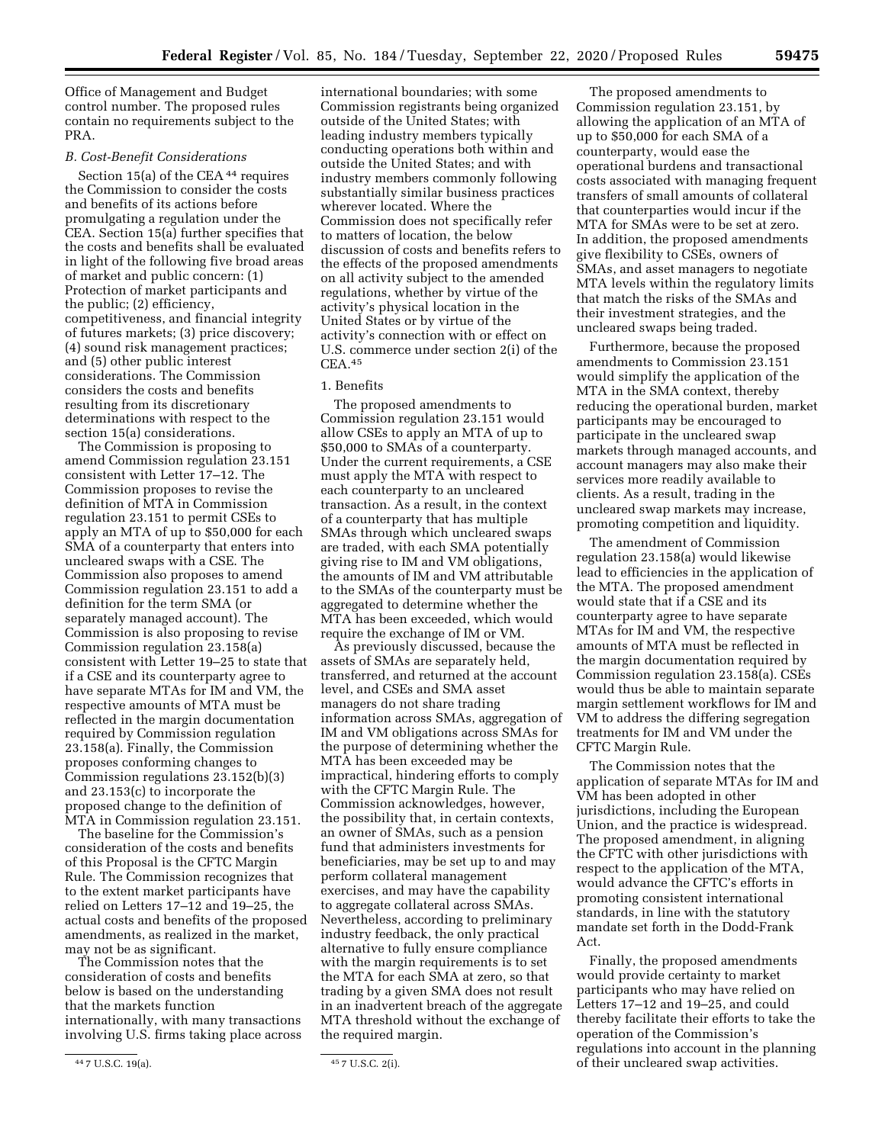Office of Management and Budget control number. The proposed rules contain no requirements subject to the PRA.

### *B. Cost-Benefit Considerations*

Section 15(a) of the CEA<sup>44</sup> requires the Commission to consider the costs and benefits of its actions before promulgating a regulation under the CEA. Section 15(a) further specifies that the costs and benefits shall be evaluated in light of the following five broad areas of market and public concern: (1) Protection of market participants and the public; (2) efficiency, competitiveness, and financial integrity of futures markets; (3) price discovery; (4) sound risk management practices; and (5) other public interest considerations. The Commission considers the costs and benefits resulting from its discretionary determinations with respect to the section 15(a) considerations.

The Commission is proposing to amend Commission regulation 23.151 consistent with Letter 17–12. The Commission proposes to revise the definition of MTA in Commission regulation 23.151 to permit CSEs to apply an MTA of up to \$50,000 for each SMA of a counterparty that enters into uncleared swaps with a CSE. The Commission also proposes to amend Commission regulation 23.151 to add a definition for the term SMA (or separately managed account). The Commission is also proposing to revise Commission regulation 23.158(a) consistent with Letter 19–25 to state that if a CSE and its counterparty agree to have separate MTAs for IM and VM, the respective amounts of MTA must be reflected in the margin documentation required by Commission regulation 23.158(a). Finally, the Commission proposes conforming changes to Commission regulations 23.152(b)(3) and 23.153(c) to incorporate the proposed change to the definition of MTA in Commission regulation 23.151.

The baseline for the Commission's consideration of the costs and benefits of this Proposal is the CFTC Margin Rule. The Commission recognizes that to the extent market participants have relied on Letters 17–12 and 19–25, the actual costs and benefits of the proposed amendments, as realized in the market, may not be as significant.

The Commission notes that the consideration of costs and benefits below is based on the understanding that the markets function internationally, with many transactions involving U.S. firms taking place across

international boundaries; with some Commission registrants being organized outside of the United States; with leading industry members typically conducting operations both within and outside the United States; and with industry members commonly following substantially similar business practices wherever located. Where the Commission does not specifically refer to matters of location, the below discussion of costs and benefits refers to the effects of the proposed amendments on all activity subject to the amended regulations, whether by virtue of the activity's physical location in the United States or by virtue of the activity's connection with or effect on U.S. commerce under section 2(i) of the CEA.45

### 1. Benefits

The proposed amendments to Commission regulation 23.151 would allow CSEs to apply an MTA of up to \$50,000 to SMAs of a counterparty. Under the current requirements, a CSE must apply the MTA with respect to each counterparty to an uncleared transaction. As a result, in the context of a counterparty that has multiple SMAs through which uncleared swaps are traded, with each SMA potentially giving rise to IM and VM obligations, the amounts of IM and VM attributable to the SMAs of the counterparty must be aggregated to determine whether the MTA has been exceeded, which would require the exchange of IM or VM.

As previously discussed, because the assets of SMAs are separately held, transferred, and returned at the account level, and CSEs and SMA asset managers do not share trading information across SMAs, aggregation of IM and VM obligations across SMAs for the purpose of determining whether the MTA has been exceeded may be impractical, hindering efforts to comply with the CFTC Margin Rule. The Commission acknowledges, however, the possibility that, in certain contexts, an owner of SMAs, such as a pension fund that administers investments for beneficiaries, may be set up to and may perform collateral management exercises, and may have the capability to aggregate collateral across SMAs. Nevertheless, according to preliminary industry feedback, the only practical alternative to fully ensure compliance with the margin requirements is to set the MTA for each SMA at zero, so that trading by a given SMA does not result in an inadvertent breach of the aggregate MTA threshold without the exchange of the required margin.

The proposed amendments to Commission regulation 23.151, by allowing the application of an MTA of up to \$50,000 for each SMA of a counterparty, would ease the operational burdens and transactional costs associated with managing frequent transfers of small amounts of collateral that counterparties would incur if the MTA for SMAs were to be set at zero. In addition, the proposed amendments give flexibility to CSEs, owners of SMAs, and asset managers to negotiate MTA levels within the regulatory limits that match the risks of the SMAs and their investment strategies, and the uncleared swaps being traded.

Furthermore, because the proposed amendments to Commission 23.151 would simplify the application of the MTA in the SMA context, thereby reducing the operational burden, market participants may be encouraged to participate in the uncleared swap markets through managed accounts, and account managers may also make their services more readily available to clients. As a result, trading in the uncleared swap markets may increase, promoting competition and liquidity.

The amendment of Commission regulation 23.158(a) would likewise lead to efficiencies in the application of the MTA. The proposed amendment would state that if a CSE and its counterparty agree to have separate MTAs for IM and VM, the respective amounts of MTA must be reflected in the margin documentation required by Commission regulation 23.158(a). CSEs would thus be able to maintain separate margin settlement workflows for IM and VM to address the differing segregation treatments for IM and VM under the CFTC Margin Rule.

The Commission notes that the application of separate MTAs for IM and VM has been adopted in other jurisdictions, including the European Union, and the practice is widespread. The proposed amendment, in aligning the CFTC with other jurisdictions with respect to the application of the MTA, would advance the CFTC's efforts in promoting consistent international standards, in line with the statutory mandate set forth in the Dodd-Frank Act.

Finally, the proposed amendments would provide certainty to market participants who may have relied on Letters 17–12 and 19–25, and could thereby facilitate their efforts to take the operation of the Commission's regulations into account in the planning of their uncleared swap activities.

<sup>44</sup> 7 U.S.C. 19(a). 45 7 U.S.C. 2(i).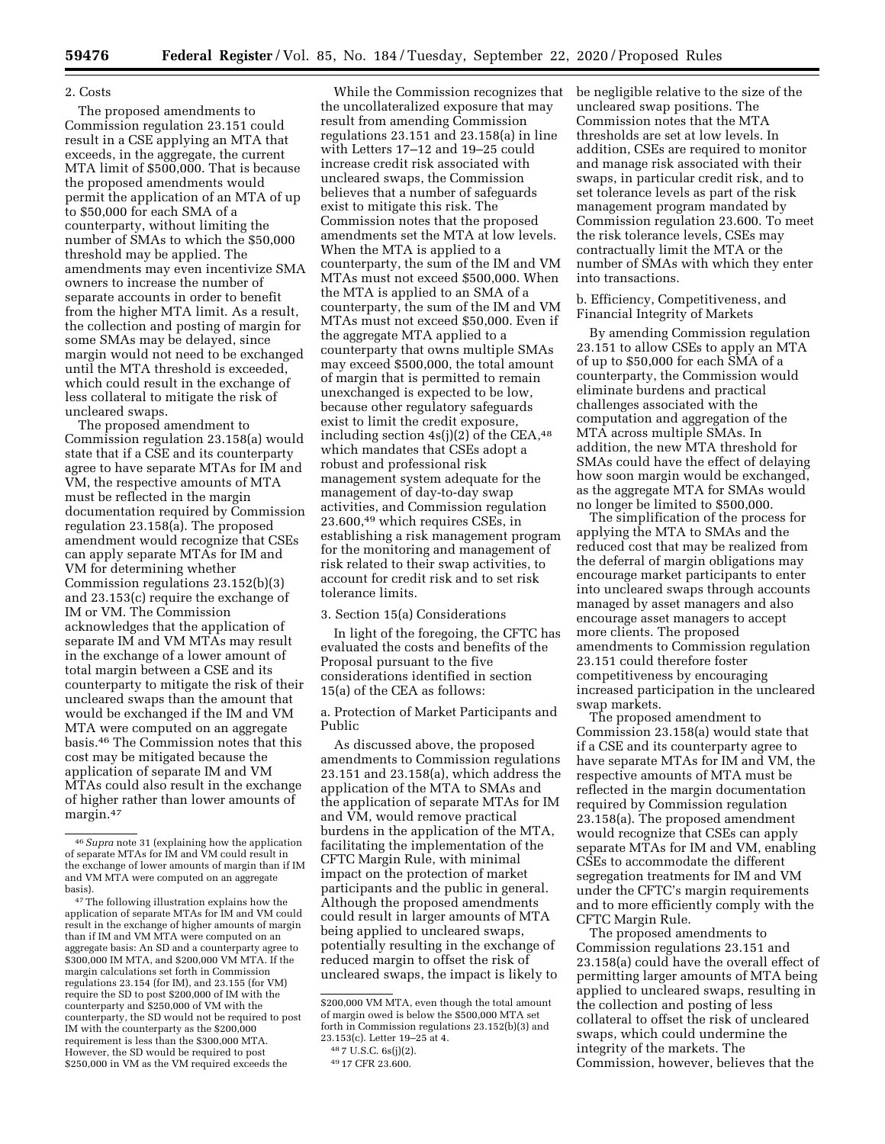#### 2. Costs

The proposed amendments to Commission regulation 23.151 could result in a CSE applying an MTA that exceeds, in the aggregate, the current MTA limit of \$500,000. That is because the proposed amendments would permit the application of an MTA of up to \$50,000 for each SMA of a counterparty, without limiting the number of SMAs to which the \$50,000 threshold may be applied. The amendments may even incentivize SMA owners to increase the number of separate accounts in order to benefit from the higher MTA limit. As a result, the collection and posting of margin for some SMAs may be delayed, since margin would not need to be exchanged until the MTA threshold is exceeded, which could result in the exchange of less collateral to mitigate the risk of uncleared swaps.

The proposed amendment to Commission regulation 23.158(a) would state that if a CSE and its counterparty agree to have separate MTAs for IM and VM, the respective amounts of MTA must be reflected in the margin documentation required by Commission regulation 23.158(a). The proposed amendment would recognize that CSEs can apply separate MTAs for IM and VM for determining whether Commission regulations 23.152(b)(3) and 23.153(c) require the exchange of IM or VM. The Commission acknowledges that the application of separate IM and VM MTAs may result in the exchange of a lower amount of total margin between a CSE and its counterparty to mitigate the risk of their uncleared swaps than the amount that would be exchanged if the IM and VM MTA were computed on an aggregate basis.46 The Commission notes that this cost may be mitigated because the application of separate IM and VM MTAs could also result in the exchange of higher rather than lower amounts of margin.<sup>47</sup>

47The following illustration explains how the application of separate MTAs for IM and VM could result in the exchange of higher amounts of margin than if IM and VM MTA were computed on an aggregate basis: An SD and a counterparty agree to \$300,000 IM MTA, and \$200,000 VM MTA. If the margin calculations set forth in Commission regulations 23.154 (for IM), and 23.155 (for VM) require the SD to post \$200,000 of IM with the counterparty and \$250,000 of VM with the counterparty, the SD would not be required to post IM with the counterparty as the \$200,000 requirement is less than the \$300,000 MTA. However, the SD would be required to post \$250,000 in VM as the VM required exceeds the

While the Commission recognizes that the uncollateralized exposure that may result from amending Commission regulations 23.151 and 23.158(a) in line with Letters 17–12 and 19–25 could increase credit risk associated with uncleared swaps, the Commission believes that a number of safeguards exist to mitigate this risk. The Commission notes that the proposed amendments set the MTA at low levels. When the MTA is applied to a counterparty, the sum of the IM and VM MTAs must not exceed \$500,000. When the MTA is applied to an SMA of a counterparty, the sum of the IM and VM MTAs must not exceed \$50,000. Even if the aggregate MTA applied to a counterparty that owns multiple SMAs may exceed \$500,000, the total amount of margin that is permitted to remain unexchanged is expected to be low, because other regulatory safeguards exist to limit the credit exposure, including section  $4s(j)(2)$  of the CEA,  $48$ which mandates that CSEs adopt a robust and professional risk management system adequate for the management of day-to-day swap activities, and Commission regulation 23.600,49 which requires CSEs, in establishing a risk management program for the monitoring and management of risk related to their swap activities, to account for credit risk and to set risk tolerance limits.

3. Section 15(a) Considerations

In light of the foregoing, the CFTC has evaluated the costs and benefits of the Proposal pursuant to the five considerations identified in section 15(a) of the CEA as follows:

a. Protection of Market Participants and Public

As discussed above, the proposed amendments to Commission regulations 23.151 and 23.158(a), which address the application of the MTA to SMAs and the application of separate MTAs for IM and VM, would remove practical burdens in the application of the MTA, facilitating the implementation of the CFTC Margin Rule, with minimal impact on the protection of market participants and the public in general. Although the proposed amendments could result in larger amounts of MTA being applied to uncleared swaps, potentially resulting in the exchange of reduced margin to offset the risk of uncleared swaps, the impact is likely to

be negligible relative to the size of the uncleared swap positions. The Commission notes that the MTA thresholds are set at low levels. In addition, CSEs are required to monitor and manage risk associated with their swaps, in particular credit risk, and to set tolerance levels as part of the risk management program mandated by Commission regulation 23.600. To meet the risk tolerance levels, CSEs may contractually limit the MTA or the number of SMAs with which they enter into transactions.

b. Efficiency, Competitiveness, and Financial Integrity of Markets

By amending Commission regulation 23.151 to allow CSEs to apply an MTA of up to \$50,000 for each SMA of a counterparty, the Commission would eliminate burdens and practical challenges associated with the computation and aggregation of the MTA across multiple SMAs. In addition, the new MTA threshold for SMAs could have the effect of delaying how soon margin would be exchanged, as the aggregate MTA for SMAs would no longer be limited to \$500,000.

The simplification of the process for applying the MTA to SMAs and the reduced cost that may be realized from the deferral of margin obligations may encourage market participants to enter into uncleared swaps through accounts managed by asset managers and also encourage asset managers to accept more clients. The proposed amendments to Commission regulation 23.151 could therefore foster competitiveness by encouraging increased participation in the uncleared swap markets.

The proposed amendment to Commission 23.158(a) would state that if a CSE and its counterparty agree to have separate MTAs for IM and VM, the respective amounts of MTA must be reflected in the margin documentation required by Commission regulation 23.158(a). The proposed amendment would recognize that CSEs can apply separate MTAs for IM and VM, enabling CSEs to accommodate the different segregation treatments for IM and VM under the CFTC's margin requirements and to more efficiently comply with the CFTC Margin Rule.

The proposed amendments to Commission regulations 23.151 and 23.158(a) could have the overall effect of permitting larger amounts of MTA being applied to uncleared swaps, resulting in the collection and posting of less collateral to offset the risk of uncleared swaps, which could undermine the integrity of the markets. The Commission, however, believes that the

<sup>46</sup>*Supra* note 31 (explaining how the application of separate MTAs for IM and VM could result in the exchange of lower amounts of margin than if IM and VM MTA were computed on an aggregate basis).

<sup>\$200,000</sup> VM MTA, even though the total amount of margin owed is below the \$500,000 MTA set forth in Commission regulations 23.152(b)(3) and 23.153(c). Letter 19–25 at 4.

<sup>48</sup> 7 U.S.C. 6s(j)(2).

<sup>49</sup> 17 CFR 23.600.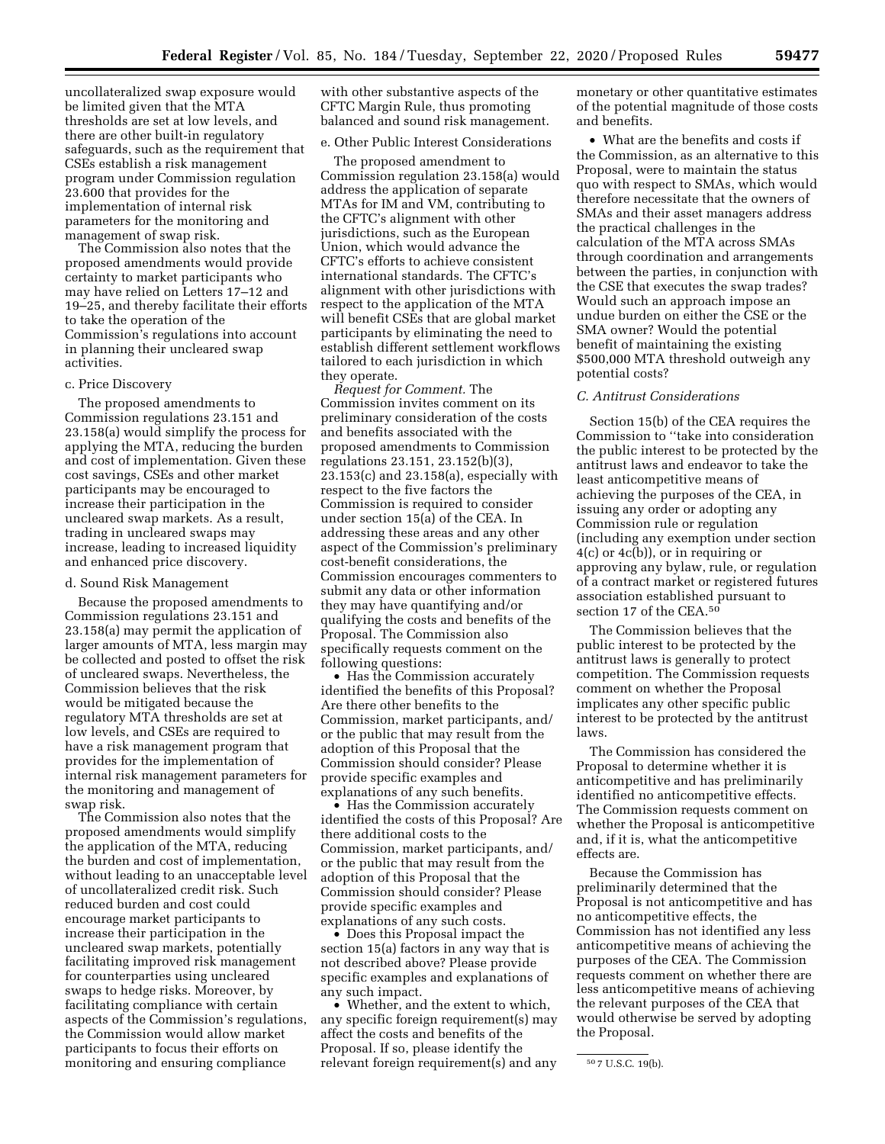uncollateralized swap exposure would be limited given that the MTA thresholds are set at low levels, and there are other built-in regulatory safeguards, such as the requirement that CSEs establish a risk management program under Commission regulation 23.600 that provides for the implementation of internal risk parameters for the monitoring and management of swap risk.

The Commission also notes that the proposed amendments would provide certainty to market participants who may have relied on Letters 17–12 and 19–25, and thereby facilitate their efforts to take the operation of the Commission's regulations into account in planning their uncleared swap activities.

#### c. Price Discovery

The proposed amendments to Commission regulations 23.151 and 23.158(a) would simplify the process for applying the MTA, reducing the burden and cost of implementation. Given these cost savings, CSEs and other market participants may be encouraged to increase their participation in the uncleared swap markets. As a result, trading in uncleared swaps may increase, leading to increased liquidity and enhanced price discovery.

### d. Sound Risk Management

Because the proposed amendments to Commission regulations 23.151 and 23.158(a) may permit the application of larger amounts of MTA, less margin may be collected and posted to offset the risk of uncleared swaps. Nevertheless, the Commission believes that the risk would be mitigated because the regulatory MTA thresholds are set at low levels, and CSEs are required to have a risk management program that provides for the implementation of internal risk management parameters for the monitoring and management of swap risk.

The Commission also notes that the proposed amendments would simplify the application of the MTA, reducing the burden and cost of implementation, without leading to an unacceptable level of uncollateralized credit risk. Such reduced burden and cost could encourage market participants to increase their participation in the uncleared swap markets, potentially facilitating improved risk management for counterparties using uncleared swaps to hedge risks. Moreover, by facilitating compliance with certain aspects of the Commission's regulations, the Commission would allow market participants to focus their efforts on monitoring and ensuring compliance

with other substantive aspects of the CFTC Margin Rule, thus promoting balanced and sound risk management.

# e. Other Public Interest Considerations

The proposed amendment to Commission regulation 23.158(a) would address the application of separate MTAs for IM and VM, contributing to the CFTC's alignment with other jurisdictions, such as the European Union, which would advance the CFTC's efforts to achieve consistent international standards. The CFTC's alignment with other jurisdictions with respect to the application of the MTA will benefit CSEs that are global market participants by eliminating the need to establish different settlement workflows tailored to each jurisdiction in which they operate.

*Request for Comment.* The Commission invites comment on its preliminary consideration of the costs and benefits associated with the proposed amendments to Commission regulations 23.151, 23.152(b)(3), 23.153(c) and 23.158(a), especially with respect to the five factors the Commission is required to consider under section 15(a) of the CEA. In addressing these areas and any other aspect of the Commission's preliminary cost-benefit considerations, the Commission encourages commenters to submit any data or other information they may have quantifying and/or qualifying the costs and benefits of the Proposal. The Commission also specifically requests comment on the following questions:

• Has the Commission accurately identified the benefits of this Proposal? Are there other benefits to the Commission, market participants, and/ or the public that may result from the adoption of this Proposal that the Commission should consider? Please provide specific examples and explanations of any such benefits.

• Has the Commission accurately identified the costs of this Proposal? Are there additional costs to the Commission, market participants, and/ or the public that may result from the adoption of this Proposal that the Commission should consider? Please provide specific examples and explanations of any such costs.

• Does this Proposal impact the section 15(a) factors in any way that is not described above? Please provide specific examples and explanations of any such impact.

• Whether, and the extent to which, any specific foreign requirement(s) may affect the costs and benefits of the Proposal. If so, please identify the relevant foreign requirement(s) and any

monetary or other quantitative estimates of the potential magnitude of those costs and benefits.

• What are the benefits and costs if the Commission, as an alternative to this Proposal, were to maintain the status quo with respect to SMAs, which would therefore necessitate that the owners of SMAs and their asset managers address the practical challenges in the calculation of the MTA across SMAs through coordination and arrangements between the parties, in conjunction with the CSE that executes the swap trades? Would such an approach impose an undue burden on either the CSE or the SMA owner? Would the potential benefit of maintaining the existing \$500,000 MTA threshold outweigh any potential costs?

#### *C. Antitrust Considerations*

Section 15(b) of the CEA requires the Commission to ''take into consideration the public interest to be protected by the antitrust laws and endeavor to take the least anticompetitive means of achieving the purposes of the CEA, in issuing any order or adopting any Commission rule or regulation (including any exemption under section 4(c) or 4c(b)), or in requiring or approving any bylaw, rule, or regulation of a contract market or registered futures association established pursuant to section 17 of the CEA.<sup>50</sup>

The Commission believes that the public interest to be protected by the antitrust laws is generally to protect competition. The Commission requests comment on whether the Proposal implicates any other specific public interest to be protected by the antitrust laws.

The Commission has considered the Proposal to determine whether it is anticompetitive and has preliminarily identified no anticompetitive effects. The Commission requests comment on whether the Proposal is anticompetitive and, if it is, what the anticompetitive effects are.

Because the Commission has preliminarily determined that the Proposal is not anticompetitive and has no anticompetitive effects, the Commission has not identified any less anticompetitive means of achieving the purposes of the CEA. The Commission requests comment on whether there are less anticompetitive means of achieving the relevant purposes of the CEA that would otherwise be served by adopting the Proposal.

<sup>50</sup> 7 U.S.C. 19(b).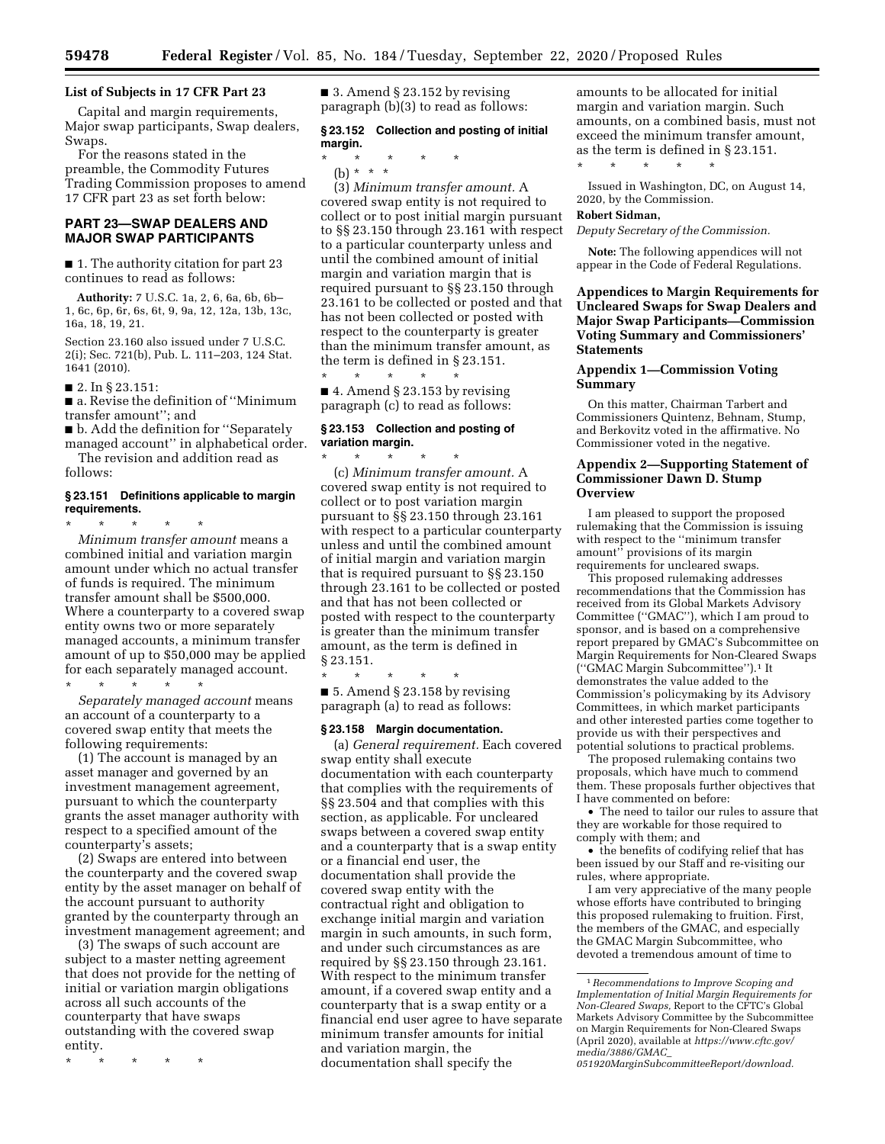## **List of Subjects in 17 CFR Part 23**

Capital and margin requirements, Major swap participants, Swap dealers, Swaps.

For the reasons stated in the preamble, the Commodity Futures Trading Commission proposes to amend 17 CFR part 23 as set forth below:

## **PART 23—SWAP DEALERS AND MAJOR SWAP PARTICIPANTS**

■ 1. The authority citation for part 23 continues to read as follows:

**Authority:** 7 U.S.C. 1a, 2, 6, 6a, 6b, 6b– 1, 6c, 6p, 6r, 6s, 6t, 9, 9a, 12, 12a, 13b, 13c, 16a, 18, 19, 21.

Section 23.160 also issued under 7 U.S.C. 2(i); Sec. 721(b), Pub. L. 111–203, 124 Stat. 1641 (2010).

■ 2. In § 23.151:

■ a. Revise the definition of "Minimum transfer amount''; and

■ b. Add the definition for "Separately managed account'' in alphabetical order. The revision and addition read as

follows:

#### **§ 23.151 Definitions applicable to margin requirements.**

\* \* \* \* \* *Minimum transfer amount* means a combined initial and variation margin amount under which no actual transfer of funds is required. The minimum transfer amount shall be \$500,000. Where a counterparty to a covered swap entity owns two or more separately managed accounts, a minimum transfer amount of up to \$50,000 may be applied for each separately managed account.

\* \* \* \* \*

*Separately managed account* means an account of a counterparty to a covered swap entity that meets the following requirements:

(1) The account is managed by an asset manager and governed by an investment management agreement, pursuant to which the counterparty grants the asset manager authority with respect to a specified amount of the counterparty's assets;

(2) Swaps are entered into between the counterparty and the covered swap entity by the asset manager on behalf of the account pursuant to authority granted by the counterparty through an investment management agreement; and

(3) The swaps of such account are subject to a master netting agreement that does not provide for the netting of initial or variation margin obligations across all such accounts of the counterparty that have swaps outstanding with the covered swap entity.

\* \* \* \* \*

 $\blacksquare$  3. Amend § 23.152 by revising paragraph (b)(3) to read as follows:

# **§ 23.152 Collection and posting of initial margin.**

\* \* \* \* \* (b) \* \* \*

(3) *Minimum transfer amount.* A covered swap entity is not required to collect or to post initial margin pursuant to §§ 23.150 through 23.161 with respect to a particular counterparty unless and until the combined amount of initial margin and variation margin that is required pursuant to §§ 23.150 through 23.161 to be collected or posted and that has not been collected or posted with respect to the counterparty is greater than the minimum transfer amount, as the term is defined in § 23.151.

\* \* \* \* \*  $\blacksquare$  4. Amend § 23.153 by revising paragraph (c) to read as follows:

### **§ 23.153 Collection and posting of variation margin.**

\* \* \* \* \* (c) *Minimum transfer amount.* A covered swap entity is not required to collect or to post variation margin pursuant to §§ 23.150 through 23.161 with respect to a particular counterparty unless and until the combined amount of initial margin and variation margin that is required pursuant to §§ 23.150 through 23.161 to be collected or posted and that has not been collected or posted with respect to the counterparty is greater than the minimum transfer amount, as the term is defined in § 23.151.

\* \* \* \* \* ■ 5. Amend § 23.158 by revising paragraph (a) to read as follows:

#### **§ 23.158 Margin documentation.**

(a) *General requirement.* Each covered swap entity shall execute documentation with each counterparty that complies with the requirements of §§ 23.504 and that complies with this section, as applicable. For uncleared swaps between a covered swap entity and a counterparty that is a swap entity or a financial end user, the documentation shall provide the covered swap entity with the contractual right and obligation to exchange initial margin and variation margin in such amounts, in such form, and under such circumstances as are required by §§ 23.150 through 23.161. With respect to the minimum transfer amount, if a covered swap entity and a counterparty that is a swap entity or a financial end user agree to have separate minimum transfer amounts for initial and variation margin, the documentation shall specify the

amounts to be allocated for initial margin and variation margin. Such amounts, on a combined basis, must not exceed the minimum transfer amount, as the term is defined in § 23.151. \* \* \* \* \*

Issued in Washington, DC, on August 14, 2020, by the Commission.

# **Robert Sidman,**

*Deputy Secretary of the Commission.* 

**Note:** The following appendices will not appear in the Code of Federal Regulations.

## **Appendices to Margin Requirements for Uncleared Swaps for Swap Dealers and Major Swap Participants—Commission Voting Summary and Commissioners' Statements**

## **Appendix 1—Commission Voting Summary**

On this matter, Chairman Tarbert and Commissioners Quintenz, Behnam, Stump, and Berkovitz voted in the affirmative. No Commissioner voted in the negative.

### **Appendix 2—Supporting Statement of Commissioner Dawn D. Stump Overview**

I am pleased to support the proposed rulemaking that the Commission is issuing with respect to the ''minimum transfer amount'' provisions of its margin requirements for uncleared swaps.

This proposed rulemaking addresses recommendations that the Commission has received from its Global Markets Advisory Committee (''GMAC''), which I am proud to sponsor, and is based on a comprehensive report prepared by GMAC's Subcommittee on Margin Requirements for Non-Cleared Swaps (''GMAC Margin Subcommittee'').1 It demonstrates the value added to the Commission's policymaking by its Advisory Committees, in which market participants and other interested parties come together to provide us with their perspectives and potential solutions to practical problems.

The proposed rulemaking contains two proposals, which have much to commend them. These proposals further objectives that I have commented on before:

• The need to tailor our rules to assure that they are workable for those required to comply with them; and

• the benefits of codifying relief that has been issued by our Staff and re-visiting our rules, where appropriate.

I am very appreciative of the many people whose efforts have contributed to bringing this proposed rulemaking to fruition. First, the members of the GMAC, and especially the GMAC Margin Subcommittee, who devoted a tremendous amount of time to

*[051920MarginSubcommitteeReport/download.](https://www.cftc.gov/media/3886/GMAC_051920MarginSubcommitteeReport/download)* 

<sup>1</sup>*Recommendations to Improve Scoping and Implementation of Initial Margin Requirements for Non-Cleared Swaps,* Report to the CFTC's Global Markets Advisory Committee by the Subcommittee on Margin Requirements for Non-Cleared Swaps (April 2020), available at *[https://www.cftc.gov/](https://www.cftc.gov/media/3886/GMAC_051920MarginSubcommitteeReport/download)  [media/3886/GMAC](https://www.cftc.gov/media/3886/GMAC_051920MarginSubcommitteeReport/download)*\_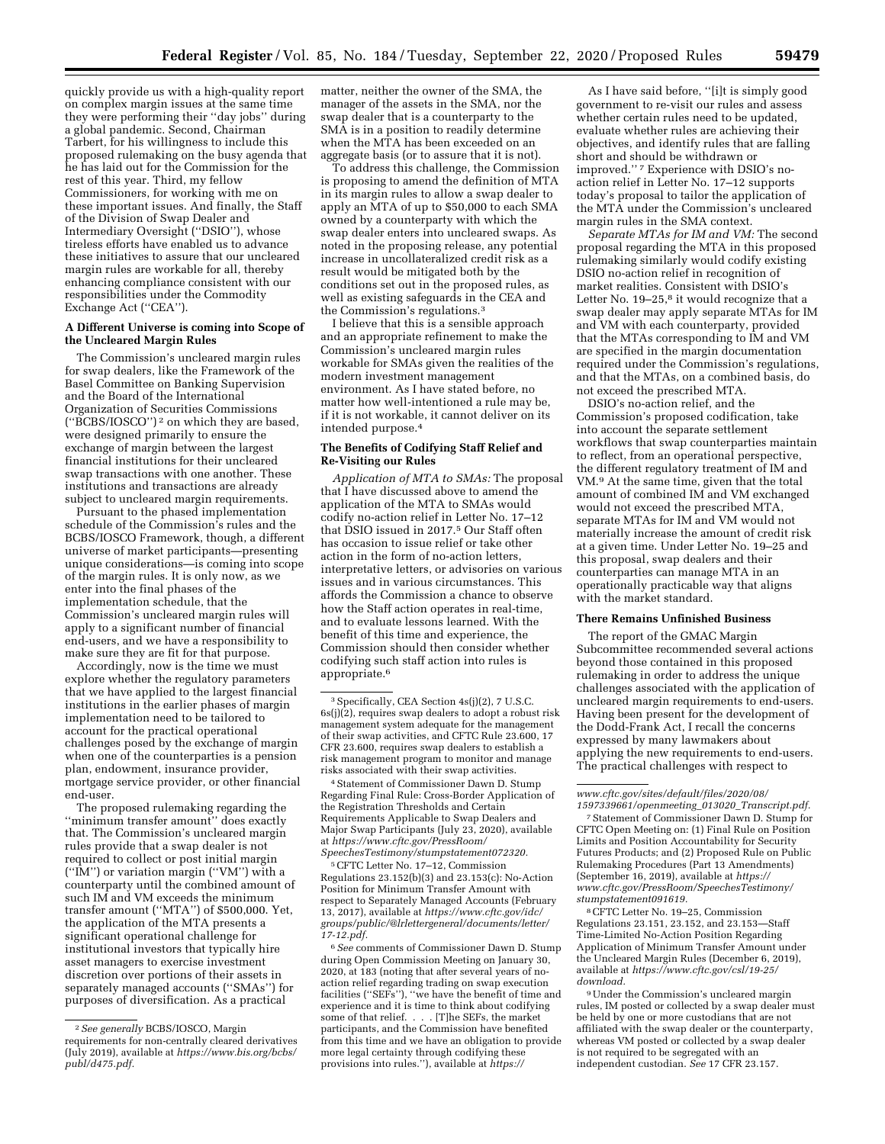quickly provide us with a high-quality report on complex margin issues at the same time they were performing their ''day jobs'' during a global pandemic. Second, Chairman Tarbert, for his willingness to include this proposed rulemaking on the busy agenda that he has laid out for the Commission for the rest of this year. Third, my fellow Commissioners, for working with me on these important issues. And finally, the Staff of the Division of Swap Dealer and Intermediary Oversight (''DSIO''), whose tireless efforts have enabled us to advance these initiatives to assure that our uncleared margin rules are workable for all, thereby enhancing compliance consistent with our responsibilities under the Commodity Exchange Act (''CEA'').

#### **A Different Universe is coming into Scope of the Uncleared Margin Rules**

The Commission's uncleared margin rules for swap dealers, like the Framework of the Basel Committee on Banking Supervision and the Board of the International Organization of Securities Commissions (''BCBS/IOSCO'') 2 on which they are based, were designed primarily to ensure the exchange of margin between the largest financial institutions for their uncleared swap transactions with one another. These institutions and transactions are already subject to uncleared margin requirements.

Pursuant to the phased implementation schedule of the Commission's rules and the BCBS/IOSCO Framework, though, a different universe of market participants—presenting unique considerations—is coming into scope of the margin rules. It is only now, as we enter into the final phases of the implementation schedule, that the Commission's uncleared margin rules will apply to a significant number of financial end-users, and we have a responsibility to make sure they are fit for that purpose.

Accordingly, now is the time we must explore whether the regulatory parameters that we have applied to the largest financial institutions in the earlier phases of margin implementation need to be tailored to account for the practical operational challenges posed by the exchange of margin when one of the counterparties is a pension plan, endowment, insurance provider, mortgage service provider, or other financial end-user.

The proposed rulemaking regarding the ''minimum transfer amount'' does exactly that. The Commission's uncleared margin rules provide that a swap dealer is not required to collect or post initial margin (''IM'') or variation margin (''VM'') with a counterparty until the combined amount of such IM and VM exceeds the minimum transfer amount (''MTA'') of \$500,000. Yet, the application of the MTA presents a significant operational challenge for institutional investors that typically hire asset managers to exercise investment discretion over portions of their assets in separately managed accounts (''SMAs'') for purposes of diversification. As a practical

matter, neither the owner of the SMA, the manager of the assets in the SMA, nor the swap dealer that is a counterparty to the SMA is in a position to readily determine when the MTA has been exceeded on an aggregate basis (or to assure that it is not).

To address this challenge, the Commission is proposing to amend the definition of MTA in its margin rules to allow a swap dealer to apply an MTA of up to \$50,000 to each SMA owned by a counterparty with which the swap dealer enters into uncleared swaps. As noted in the proposing release, any potential increase in uncollateralized credit risk as a result would be mitigated both by the conditions set out in the proposed rules, as well as existing safeguards in the CEA and the Commission's regulations.3

I believe that this is a sensible approach and an appropriate refinement to make the Commission's uncleared margin rules workable for SMAs given the realities of the modern investment management environment. As I have stated before, no matter how well-intentioned a rule may be, if it is not workable, it cannot deliver on its intended purpose.4

#### **The Benefits of Codifying Staff Relief and Re-Visiting our Rules**

*Application of MTA to SMAs:* The proposal that I have discussed above to amend the application of the MTA to SMAs would codify no-action relief in Letter No. 17–12 that DSIO issued in 2017.<sup>5</sup> Our Staff often has occasion to issue relief or take other action in the form of no-action letters, interpretative letters, or advisories on various issues and in various circumstances. This affords the Commission a chance to observe how the Staff action operates in real-time, and to evaluate lessons learned. With the benefit of this time and experience, the Commission should then consider whether codifying such staff action into rules is appropriate.6

4Statement of Commissioner Dawn D. Stump Regarding Final Rule: Cross-Border Application of the Registration Thresholds and Certain Requirements Applicable to Swap Dealers and Major Swap Participants (July 23, 2020), available at *[https://www.cftc.gov/PressRoom/](https://www.cftc.gov/PressRoom/SpeechesTestimony/stumpstatement072320)  [SpeechesTestimony/stumpstatement072320.](https://www.cftc.gov/PressRoom/SpeechesTestimony/stumpstatement072320)* 

5CFTC Letter No. 17–12, Commission Regulations 23.152(b)(3) and 23.153(c): No-Action Position for Minimum Transfer Amount with respect to Separately Managed Accounts (February 13, 2017), available at *[https://www.cftc.gov/idc/](https://www.cftc.gov/idc/groups/public/@lrlettergeneral/documents/letter/17-12.pdf)  [groups/public/@lrlettergeneral/documents/letter/](https://www.cftc.gov/idc/groups/public/@lrlettergeneral/documents/letter/17-12.pdf)  [17-12.pdf.](https://www.cftc.gov/idc/groups/public/@lrlettergeneral/documents/letter/17-12.pdf)* 

6*See* comments of Commissioner Dawn D. Stump during Open Commission Meeting on January 30, 2020, at 183 (noting that after several years of noaction relief regarding trading on swap execution facilities (''SEFs''), ''we have the benefit of time and experience and it is time to think about codifying some of that relief. . . . [T]he SEFs, the market participants, and the Commission have benefited from this time and we have an obligation to provide more legal certainty through codifying these provisions into rules.''), available at *[https://](https://www.cftc.gov/sites/default/files/2020/08/1597339661/openmeeting_013020_Transcript.pdf)*

As I have said before, ''[i]t is simply good government to re-visit our rules and assess whether certain rules need to be updated, evaluate whether rules are achieving their objectives, and identify rules that are falling short and should be withdrawn or improved."<sup>7</sup> Experience with DSIO's noaction relief in Letter No. 17–12 supports today's proposal to tailor the application of the MTA under the Commission's uncleared margin rules in the SMA context.

*Separate MTAs for IM and VM:* The second proposal regarding the MTA in this proposed rulemaking similarly would codify existing DSIO no-action relief in recognition of market realities. Consistent with DSIO's Letter No. 19-25,<sup>8</sup> it would recognize that a swap dealer may apply separate MTAs for IM and VM with each counterparty, provided that the MTAs corresponding to IM and VM are specified in the margin documentation required under the Commission's regulations, and that the MTAs, on a combined basis, do not exceed the prescribed MTA.

DSIO's no-action relief, and the Commission's proposed codification, take into account the separate settlement workflows that swap counterparties maintain to reflect, from an operational perspective, the different regulatory treatment of IM and VM.9 At the same time, given that the total amount of combined IM and VM exchanged would not exceed the prescribed MTA, separate MTAs for IM and VM would not materially increase the amount of credit risk at a given time. Under Letter No. 19–25 and this proposal, swap dealers and their counterparties can manage MTA in an operationally practicable way that aligns with the market standard.

# **There Remains Unfinished Business**

The report of the GMAC Margin Subcommittee recommended several actions beyond those contained in this proposed rulemaking in order to address the unique challenges associated with the application of uncleared margin requirements to end-users. Having been present for the development of the Dodd-Frank Act, I recall the concerns expressed by many lawmakers about applying the new requirements to end-users. The practical challenges with respect to

7Statement of Commissioner Dawn D. Stump for CFTC Open Meeting on: (1) Final Rule on Position Limits and Position Accountability for Security Futures Products; and (2) Proposed Rule on Public Rulemaking Procedures (Part 13 Amendments) (September 16, 2019), available at *[https://](https://www.cftc.gov/PressRoom/SpeechesTestimony/stumpstatement091619) [www.cftc.gov/PressRoom/SpeechesTestimony/](https://www.cftc.gov/PressRoom/SpeechesTestimony/stumpstatement091619)  [stumpstatement091619.](https://www.cftc.gov/PressRoom/SpeechesTestimony/stumpstatement091619)* 

8CFTC Letter No. 19–25, Commission Regulations 23.151, 23.152, and 23.153—Staff Time-Limited No-Action Position Regarding Application of Minimum Transfer Amount under the Uncleared Margin Rules (December 6, 2019), available at *[https://www.cftc.gov/csl/19-25/](https://www.cftc.gov/csl/19-25/download)  [download.](https://www.cftc.gov/csl/19-25/download)* 

9Under the Commission's uncleared margin rules, IM posted or collected by a swap dealer must be held by one or more custodians that are not affiliated with the swap dealer or the counterparty, whereas VM posted or collected by a swap dealer is not required to be segregated with an independent custodian. *See* 17 CFR 23.157.

<sup>2</sup>*See generally* BCBS/IOSCO, Margin requirements for non-centrally cleared derivatives (July 2019), available at *[https://www.bis.org/bcbs/](https://www.bis.org/bcbs/publ/d475.pdf) [publ/d475.pdf.](https://www.bis.org/bcbs/publ/d475.pdf)* 

<sup>3</sup>Specifically, CEA Section 4s(j)(2), 7 U.S.C.  $6s(j)(2)$ , requires swap dealers to adopt a robust risk management system adequate for the management of their swap activities, and CFTC Rule 23.600, 17 CFR 23.600, requires swap dealers to establish a risk management program to monitor and manage risks associated with their swap activities.

*[www.cftc.gov/sites/default/files/2020/08/](https://www.cftc.gov/sites/default/files/2020/08/1597339661/openmeeting_013020_Transcript.pdf)  [1597339661/openmeeting](https://www.cftc.gov/sites/default/files/2020/08/1597339661/openmeeting_013020_Transcript.pdf)*\_*013020*\_*Transcript.pdf.*